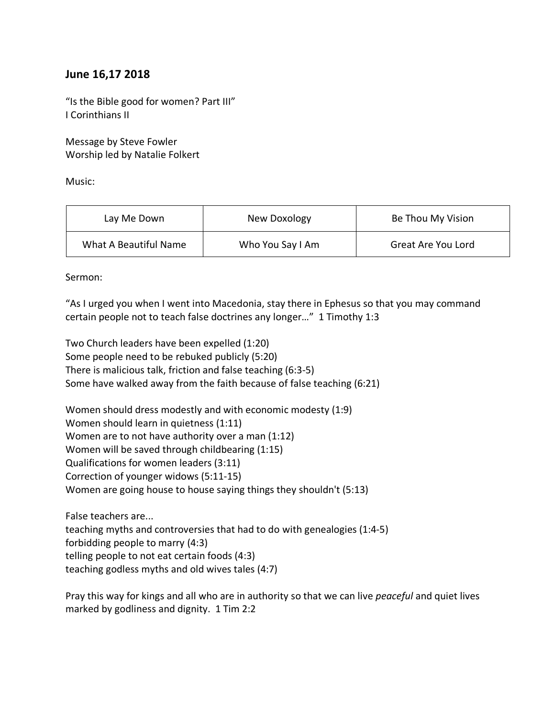## **June 16,17 2018**

"Is the Bible good for women? Part III" I Corinthians II

Message by Steve Fowler Worship led by Natalie Folkert

Music:

| Lay Me Down           | New Doxology     | Be Thou My Vision  |
|-----------------------|------------------|--------------------|
| What A Beautiful Name | Who You Say I Am | Great Are You Lord |

Sermon:

"As I urged you when I went into Macedonia, stay there in Ephesus so that you may command certain people not to teach false doctrines any longer…" 1 Timothy 1:3

Two Church leaders have been expelled (1:20) Some people need to be rebuked publicly (5:20) There is malicious talk, friction and false teaching (6:3-5) Some have walked away from the faith because of false teaching (6:21)

Women should dress modestly and with economic modesty (1:9) Women should learn in quietness (1:11) Women are to not have authority over a man (1:12) Women will be saved through childbearing (1:15) Qualifications for women leaders (3:11) Correction of younger widows (5:11-15) Women are going house to house saying things they shouldn't (5:13)

False teachers are... teaching myths and controversies that had to do with genealogies (1:4-5) forbidding people to marry (4:3) telling people to not eat certain foods (4:3) teaching godless myths and old wives tales (4:7)

Pray this way for kings and all who are in authority so that we can live *peaceful* and quiet lives marked by godliness and dignity. 1 Tim 2:2